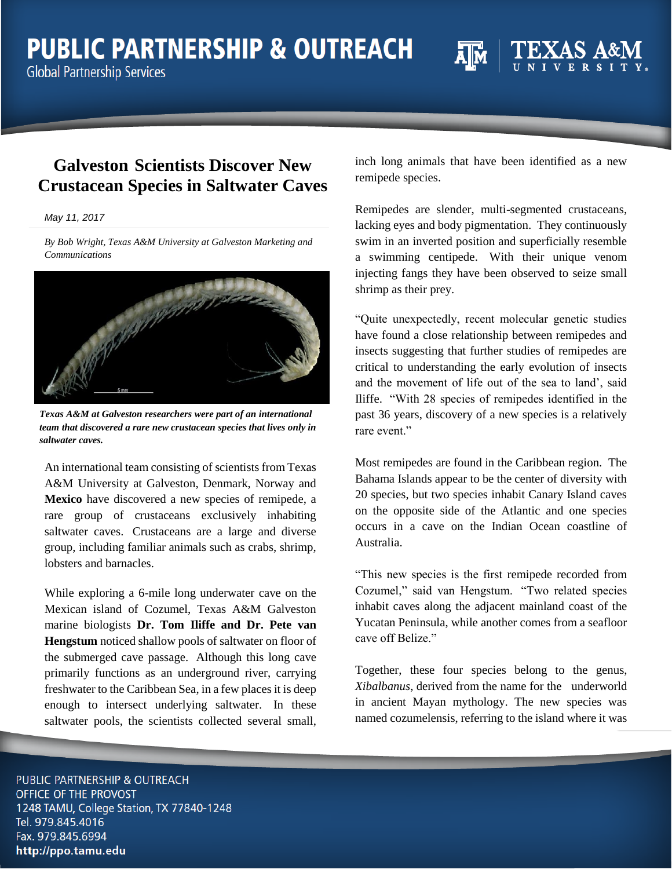# **PUBLIC PARTNERSHIP & OUTREACH**

**Global Partnership Services** 

inch long animals that have been identified as a new remipede species.

Remipedes are slender, multi-segmented crustaceans, lacking eyes and body pigmentation. They continuously swim in an inverted position and superficially resemble a swimming centipede. With their unique venom injecting fangs they have been observed to seize small shrimp as their prey.

"Quite unexpectedly, recent molecular genetic studies have found a close relationship between remipedes and insects suggesting that further studies of remipedes are critical to understanding the early evolution of insects and the movement of life out of the sea to land', said Iliffe. "With 28 species of remipedes identified in the past 36 years, discovery of a new species is a relatively rare event."

Most remipedes are found in the Caribbean region. The Bahama Islands appear to be the center of diversity with 20 species, but two species inhabit Canary Island caves on the opposite side of the Atlantic and one species occurs in a cave on the Indian Ocean coastline of Australia.

"This new species is the first remipede recorded from Cozumel," said van Hengstum. "Two related species inhabit caves along the adjacent mainland coast of the Yucatan Peninsula, while another comes from a seafloor cave off Belize."

Together, these four species belong to the genus, *Xibalbanus*, derived from the name for the underworld in ancient Mayan mythology. The new species was named cozumelensis, referring to the island where it was

PUBLIC PARTNERSHIP & OUTREACH OFFICE OF THE PROVOST 1248 TAMU, College Station, TX 77840-1248 Tel. 979.845.4016 Fax. 979.845.6994 http://ppo.tamu.edu

## **Galveston Scientists Discover New Crustacean Species in Saltwater Caves**

*[May](https://today.agrilife.org/2016/04/25/annual-ebeam-workshop-gives-attendees-access-to-technology/) 11, 2017*

*By Bob Wright, Texas A&M University at Galveston Marketing and Communications*

*Texas A&M at Galveston researchers were part of an international* 

*team that discovered a rare new crustacean species that lives only in saltwater caves.*

An international team consisting of scientists from Texas A&M University at Galveston, Denmark, Norway and **Mexico** have discovered a new species of remipede, a rare group of crustaceans exclusively inhabiting saltwater caves. Crustaceans are a large and diverse group, including familiar animals such as crabs, shrimp, lobsters and barnacles.

While exploring a 6-mile long underwater cave on the Mexican island of Cozumel, Texas A&M Galveston marine biologists **Dr. Tom Iliffe and Dr. Pete van Hengstum** noticed shallow pools of saltwater on floor of the submerged cave passage. Although this long cave primarily functions as an underground river, carrying freshwater to the Caribbean Sea, in a few places it is deep enough to intersect underlying saltwater. In these saltwater pools, the scientists collected several small,